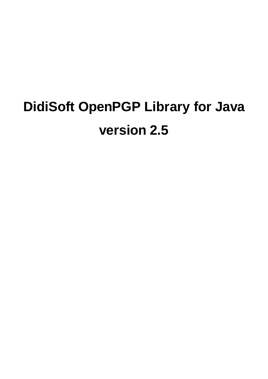# **DidiSoft OpenPGP Library for Java version 2.5**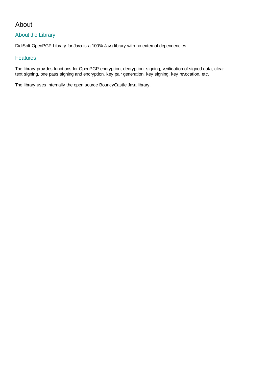# About

## About the Library

DidiSoft OpenPGP Library for Java is a 100% Java library with no external dependencies.

## Features

The library provides functions for OpenPGP encryption, decryption, signing, verification of signed data, clear text signing, one pass signing and encryption, key pair generation, key signing, key revocation, etc.

The library uses internally the open source BouncyCastle Java library.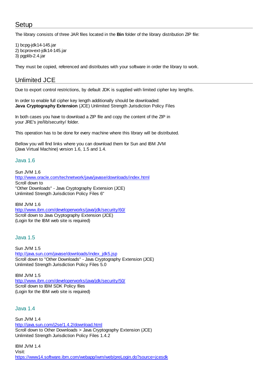# <span id="page-2-0"></span>Setup

The library consists of three JAR files located in the **Bin** folder of the library distribution ZIP file:

1) bcpg-jdk14-145.jar 2) bcprov-ext-jdk14-145.jar 3) pgplib-2.4.jar

<span id="page-2-1"></span>They must be copied, referenced and distributes with your software in order the library to work.

# Unlimited JCE

Due to export control restrictions, by default JDK is supplied with limited cipher key lengths.

In order to enable full cipher key length additionally should be downloaded: **Java Cryptography Extension** (JCE) Unlimited Strength Jurisdiction Policy Files

In both cases you have to download a ZIP file and copy the content of the ZIP in your JRE's jre/lib/security/ folder.

This operation has to be done for every machine where this library will be distributed.

Bellow you will find links where you can download them for Sun and IBM JVM (Java Virtual Machine) version 1.6, 1.5 and 1.4.

## Java 1.6

Sun JVM 1.6 <http://www.oracle.com/technetwork/java/javase/downloads/index.html> Scroll down to "Other Downloads" - Java Cryptography Extension (JCE) Unlimited Strength Jurisdiction Policy Files 6"

IBM JVM 1.6 <http://www.ibm.com/developerworks/java/jdk/security/60/> Scroll down to Java Cryptography Extension (JCE) (Login for the IBM web site is required)

## Java 1.5

Sun JVM 1.5 [http://java.sun.com/javase/downloads/index\\_jdk5.jsp](http://java.sun.com/javase/downloads/index_jdk5.jsp) Scroll down to "Other Downloads" - Java Cryptography Extension (JCE) Unlimited Strength Jurisdiction Policy Files 5.0

IBM JVM 1.5 <http://www.ibm.com/developerworks/java/jdk/security/50/> Scroll down to IBM SDK Policy files (Login for the IBM web site is required)

## Java 1.4

Sun JVM 1.4 <http://java.sun.com/j2se/1.4.2/download.html> Scroll down to Other Downloads > Java Cryptography Extension (JCE) Unlimited Strength Jurisdiction Policy Files 1.4.2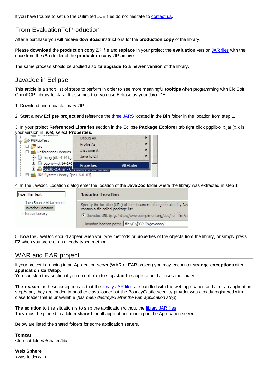If you have trouble to set up the Unlimited JCE files do not hesitate to [contact us.](#page-27-0)

# From EvaluationToProduction

After a purchase you will receive **download** instructions for the **production copy** of the library.

Please **download** the **production copy** ZIP file and **replace** in your project the **evaluation** version [JAR files](#page-2-0) with the once from the **/Bin** folder of the **production copy** ZIP archive.

The same process should be applied also for **upgrade to a newer version** of the library.

## Javadoc in Eclipse

This article is a short list of steps to perform in order to see more meaningful **tooltips** when programming with DidiSoft OpenPGP Library for Java. It assumes that you use Eclipse as your Java IDE.

1. Download and unpack library ZIP.

2. Start a new **Eclipse project** and reference the [three JARS](#page-2-0) located in the **Bin** folder in the location from step 1.

3. In your project **Referenced Libraries** section in the Eclipse **Package Explorer** tab right click pgplib-x.x.jar (x.x is your version in use), select **Properties.**

| Francisco (Final Lauritius Grand                                    |            |           |  |  |
|---------------------------------------------------------------------|------------|-----------|--|--|
| 中   bcprov-jdk14-141<br><b>El 20</b> pgplib-2.4.jar - C.            | Properties | Alt+Enter |  |  |
| D bcpg-jdk14-141.j                                                  | Java to C# |           |  |  |
| <b>E</b> <sup></sup> <b>E</b> <sup>&amp;</sup> Referenced Libraries | Instrument |           |  |  |
| 由 <sup>5</sup> src                                                  | Profile As |           |  |  |
| PGPLibTest                                                          | Debug As   |           |  |  |

 $\Box$   $\Box$  IRE System Library [jre1.6.0 07]

4. In the Javadoc Location dialog enter the location of the **JavaDoc** folder where the library was extracted in step 1.

| type filter text                                               | <b>Javadoc Location</b>                                                                                                                                                                                                           |  |  |
|----------------------------------------------------------------|-----------------------------------------------------------------------------------------------------------------------------------------------------------------------------------------------------------------------------------|--|--|
| - Java Source Attachment<br>Javadoc Location<br>Mative Library | Specify the location (URL) of the documentation generated by Jav<br>contain a file called 'package-list'.<br>C Javadoc URL (e.g. 'http://www.sample-url.org/doc/' or 'file:/c:<br>Javadoc location path: file:/C:/PGPLIb/javadoc/ |  |  |

5. Now the JavaDoc should appear when you type methods or properties of the objects from the library, or simply press **F2** when you are over an already typed method.

# WAR and EAR project

If your project is running in an Application server (WAR or EAR project) you may encounter **strange exceptions** after **application start/stop**.

You can skip this section if you do not plan to stop/start the application that uses the library.

**The reason** for these exceptions is that the [library JAR files](#page-2-0) are bundled with the web application and after an application stop/start, they are loaded in another class loader but the BouncyCastle security provider was already registered with class loader that is unavailable (*has been destroyed after the web application stop*)

**The solution** to this situation is to ship the application without the [library JAR files.](#page-2-0) They must be placed in a folder **shared** for all applications running on the Application server.

Below are listed the shared folders for some application servers.

**Tomcat** <tomcat folder>/shared/lib/

**Web Sphere** <was folder>/lib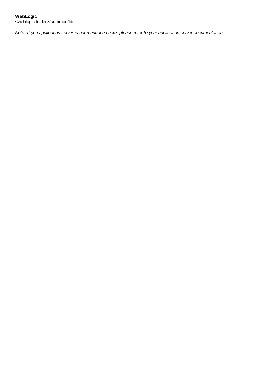*Note: If you application server is not mentioned here, please refer to your application server documentation*.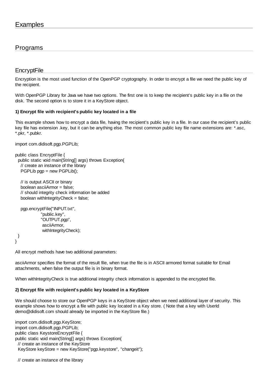## <span id="page-5-0"></span>Programs

## **EncryptFile**

Encryption is the most used function of the OpenPGP cryptography. In order to encrypt a file we need the public key of the recipient.

With OpenPGP Library for Java we have two options. The first one is to keep the recipient's public key in a file on the disk. The second option is to store it in a KeyStore object.

## **1) Encrypt file with recipient's public key located in a file**

This example shows how to encrypt a data file, having the recipient's public key in a file. In our case the recipient's public key file has extension .key, but it can be anything else. The most common public key file name extensions are: \*.asc, \*.pkr, \*.pubkr.

import com.didisoft.pgp.PGPLib;

```
public class EncryptFile {
  public static void main(String[] args) throws Exception{
   // create an instance of the library
   PGPLib pgp = new PGPLib();
```
 // is output ASCII or binary boolean asciiArmor = false; // should integrity check information be added boolean with $IntegrityCheck = false;$ 

```
 pgp.encryptFile("INPUT.txt",
            "public.key",
            "OUTPUT.pgp",
            asciiArmor,
           withIntegrityCheck);
```

```
 }
}
```
All encrypt methods have two additional parameters:

asciiArmor specifies the format of the result file, when true the file is in ASCII armored format suitable for Email attachments, when false the output file is in binary format.

When withIntegrityCheck is true additional integrity check information is appended to the encrypted file.

#### **2) Encrypt file with recipient's public key located in a KeyStore**

We should choose to store our OpenPGP keys in a KeyStore object when we need additional layer of security. This example shows how to encrypt a file with public key located in a Key store. ( Note that a key with UserId [demo@didisoft.com](mailto:demo@didisoft.com) should already be imported in the KeyStore file.)

import com.didisoft.pgp.KeyStore; import com.didisoft.pgp.PGPLib; public class KeystoreEncryptFile { public static void main(String[] args) throws Exception{ // create an instance of the KeyStore KeyStore keyStore = new KeyStore("pgp.keystore", "changeit");

// create an instance of the library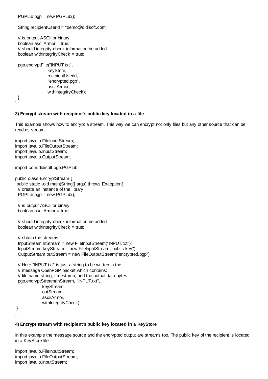PGPLib pgp = new PGPLib();

String recipientUserId = ["demo@didisoft.com"](mailto:demo@didisoft.com);

```
 // is output ASCII or binary
 boolean asciiArmor = true;
 // should integrity check information be added
 boolean withIntegrityCheck = true;
```
 pgp.encryptFile("INPUT.txt", keyStore, recipientUserId, "encrypted.pgp", asciiArmor, withIntegrityCheck);

 } }

#### **3) Encrypt stream with recipient's public key located in a file**

This example shows how to encrypt a stream. This way we can encrypt not only files but any other source that can be read as stream.

import java.io.FileInputStream; import java.io.FileOutputStream; import java.io.InputStream; import java.io.OutputStream;

import com.didisoft.pgp.PGPLib;

public class EncryptStream { public static void main(String[] args) throws Exception{ // create an instance of the library PGPLib pgp = new PGPLib();

 // is output ASCII or binary boolean asciiArmor = true;

 // should integrity check information be added boolean withIntegrityCheck  $=$  true;

 // obtain the streams InputStream inStream = new FileInputStream("INPUT.txt"); InputStream keyStream = new FileInputStream("public.key"); OutputStream outStream = new FileOutputStream("encrypted.pgp");

 // Here "INPUT.txt" is just a string to be written in the // message OpenPGP packet which contains: // file name string, timestamp, and the actual data bytes pgp.encryptStream(inStream, "INPUT.txt", keyStream, outStream, asciiArmor, withIntegrityCheck);

 } }

#### **4) Encrypt stream with recipient's public key located in a KeyStore**

In this example the message source and the encrypted output are streams too. The public key of the recipient is located in a KeyStore file.

import java.io.FileInputStream; import java.io.FileOutputStream; import java.io.InputStream;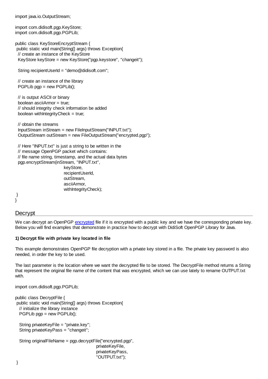import java.io.OutputStream;

import com.didisoft.pgp.KeyStore; import com.didisoft.pgp.PGPLib:

public class KeyStoreEncryptStream { public static void main(String[] args) throws Exception{ // create an instance of the KeyStore KeyStore keyStore = new KeyStore("pgp.keystore", "changeit");

String recipientUserId = ["demo@didisoft.com"](mailto:demo@didisoft.com);

 // create an instance of the library  $PGPLib$  pgp = new  $PGPLib()$ ;

 // is output ASCII or binary boolean asciiArmor = true; // should integrity check information be added boolean withIntegrityCheck = true;

 // obtain the streams InputStream inStream = new FileInputStream("INPUT.txt"); OutputStream outStream = new FileOutputStream("encrypted.pgp");

 // Here "INPUT.txt" is just a string to be written in the // message OpenPGP packet which contains: // file name string, timestamp, and the actual data bytes pgp.encryptStream(inStream, "INPUT.txt", keyStore, recipientUserId, outStream, asciiArmor, withIntegrityCheck);

#### <span id="page-7-0"></span> } }

## **Decrypt**

We can decrypt an OpenPGP [encrypted](#page-5-0) file if it is encrypted with a public key and we have the corresponding private key. Below you will find examples that demonstrate in practice how to decrypt with DidiSoft OpenPGP Library for Java.

## **1) Decrypt file with private key located in file**

This example demonstrates OpenPGP file decryption with a private key stored in a file. The private key password is also needed, in order the key to be used.

The last parameter is the location where we want the decrypted file to be stored. The DecryptFile method returns a String that represent the original file name of the content that was encrypted, which we can use lately to rename OUTPUT.txt with.

> privateKeyPass, "OUTPUT.txt");

import com.didisoft.pgp.PGPLib;

```
public class DecryptFile {
 public static void main(String[] args) throws Exception{
  // initialize the library instance
  PGPLib pgp = new PGPLib();
   String privateKeyFile = "private.key";
  String privateKeyPass = "changeit";
  String originalFileName = pgp.decryptFile("encrypted.pgp",
                                           privateKeyFile,
```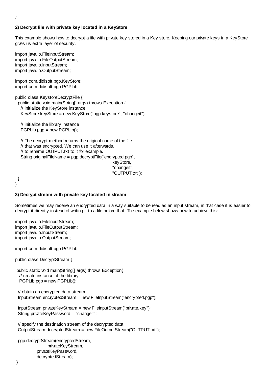#### }

#### **2) Decrypt file with private key located in a KeyStore**

This example shows how to decrypt a file with private key stored in a Key store. Keeping our private keys in a KeyStore gives us extra layer of security.

import java.jo.FileInputStream: import java.io.FileOutputStream; import java.io.InputStream; import java.io.OutputStream;

import com.didisoft.pgp.KeyStore; import com.didisoft.pgp.PGPLib;

public class KeystoreDecryptFile { public static void main(String[] args) throws Exception { // initialize the KeyStore instance KeyStore keyStore = new KeyStore("pgp.keystore", "changeit");

 // initialize the library instance  $PGPLib$  pgp = new  $PGPLib()$ ;

 // The decrypt method returns the original name of the file // that was encrypted. We can use it afterwards, // to rename OUTPUT.txt to it for example. String originalFileName = pgp.decryptFile("encrypted.pgp", keyStore, "changeit", "OUTPUT.txt");

 } }

#### **3) Decrypt stream with private key located in stream**

Sometimes we may receive an encrypted data in a way suitable to be read as an input stream, in that case it is easier to decrypt it directly instead of writing it to a file before that. The example below shows how to achieve this:

import java.io.FileInputStream; import java.io.FileOutputStream; import java.io.InputStream; import java.io.OutputStream;

import com.didisoft.pgp.PGPLib;

public class DecryptStream {

public static void main(String[] args) throws Exception{

// create instance of the library

PGPLib pgp = new PGPLib();

 // obtain an encrypted data stream InputStream encryptedStream = new FileInputStream("encrypted.pgp");

 InputStream privateKeyStream = new FileInputStream("private.key"); String privateKeyPassword = "changeit";

 // specify the destination stream of the decrypted data OutputStream decryptedStream = new FileOutputStream("OUTPUT.txt");

 pgp.decryptStream(encryptedStream, privateKeyStream, privateKeyPassword, decryptedStream);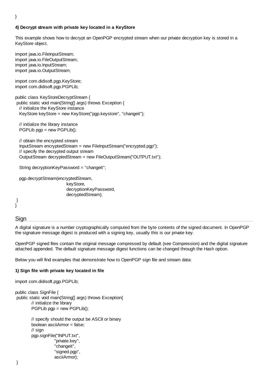## **4) Decrypt stream with private key located in a KeyStore**

This example shows how to decrypt an OpenPGP encrypted stream when our private decryption key is stored in a KeyStore object.

import java.jo.FileInputStream: import java.jo.FileOutputStream: import java.io.InputStream; import java.io.OutputStream;

import com.didisoft.pgp.KeyStore; import com.didisoft.pgp.PGPLib;

public class KeyStoreDecryptStream { public static void main(String[] args) throws Exception { // initialize the KeyStore instance KeyStore keyStore = new KeyStore("pgp.keystore", "changeit");

 // initialize the library instance PGPLib pgp = new PGPLib();

 // obtain the encrypted stream InputStream encryptedStream = new FileInputStream("encrypted.pgp"); // specify the decrypted output stream OutputStream decryptedStream = new FileOutputStream("OUTPUT.txt");

String decryptionKeyPassword = "changeit";

 pgp.decryptStream(encryptedStream, keyStore, decryptionKeyPassword, decryptedStream);

#### <span id="page-9-0"></span> } }

## **Sign**

A digital signature is a number cryptographically computed from the byte contents of the signed document. In OpenPGP the signature message digest is produced with a signing key, usually this is our private key.

OpenPGP signed files contain the original message compressed by default (see Compression) and the digital signature attached appended. The default signature message digest functions can be changed through the Hash option.

Below you will find examples that demonstrate how to OpenPGP sign file and stream data:

#### **1) Sign file with private key located in file**

import com.didisoft.pgp.PGPLib;

```
public class SignFile {
 public static void main(String[] args) throws Exception{
        // initialize the library
        PGPLib pgp = new PGPLib();
        // specify should the output be ASCII or binary
        boolean asciiArmor = false;
        // sign
        pgp.signFile("INPUT.txt",
                      "private.key",
                      "changeit",
                      "signed.pgp",
```
asciiArmor);

}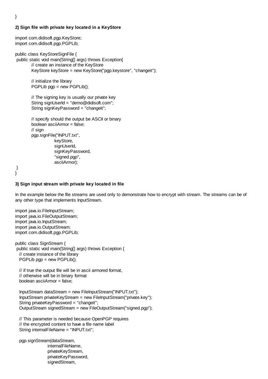#### **2) Sign file with private key located in a KeyStore**

import com.didisoft.pgp.KeyStore; import com.didisoft.pgp.PGPLib:

public class KeyStoreSignFile {

 public static void main(String[] args) throws Exception{ // create an instance of the KeyStore KeyStore keyStore = new KeyStore("pgp.keystore", "changeit");

> // initialize the library  $PGPLib$  pgp = new  $PGPLib()$ ;

// The signing key is usually our private key String signUserId = "[demo@didisoft.com](mailto:demo@didisoft.com)"; String signKeyPassword = "changeit";

```
// specify should the output be ASCII or binary
boolean asciiArmor = false;
// sign
pgp.signFile("INPUT.txt",
             keyStore,
             signUserId,
             signKeyPassword,
             "signed.pgp",
             asciiArmor);
```

```
 }
}
```
#### **3) Sign input stream with private key located in file**

In the example below the file streams are used only to demonstrate how to encrypt with stream. The streams can be of any other type that implements InputStream.

import java.io.FileInputStream; import java.io.FileOutputStream; import java.io.InputStream; import java.io.OutputStream; import com.didisoft.pgp.PGPLib;

public class SignStream { public static void main(String[] args) throws Exception { // create instance of the library PGPLib pgp = new PGPLib();

 // if true the output file will be in ascii armored format, // otherwise will be in binary format boolean asciiArmor = false;

 InputStream dataStream = new FileInputStream("INPUT.txt"); InputStream privateKeyStream = new FileInputStream("private.key"); String privateKeyPassword = "changeit"; OutputStream signedStream = new FileOutputStream("signed.pgp");

 // This parameter is needed because OpenPGP requires // the encrypted content to have a file name label String internalFileName = "INPUT.txt";

 pgp.signStream(dataStream, internalFileName, privateKeyStream, privateKeyPassword, signedStream,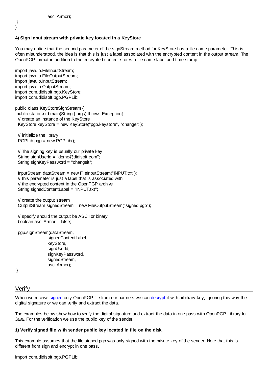} }

## **4) Sign input stream with private key located in a KeyStore**

You may notice that the second parameter of the signStream method for KeyStore has a file name parameter. This is often misunderstood, the idea is that this is just a label associated with the encrypted content in the output stream. The OpenPGP format in addition to the encrypted content stores a file name label and time stamp.

import java.io.FileInputStream; import java.io.FileOutputStream; import java.io.InputStream; import java.io.OutputStream; import com.didisoft.pgp.KeyStore; import com.didisoft.pgp.PGPLib;

public class KeyStoreSignStream { public static void main(String[] args) throws Exception{ // create an instance of the KeyStore KeyStore keyStore = new KeyStore("pgp.keystore", "changeit");

 // initialize the library PGPLib pgp = new PGPLib();

 // The signing key is usually our private key String signUserId = "[demo@didisoft.com](mailto:demo@didisoft.com)"; String signKeyPassword = "changeit";

 InputStream dataStream = new FileInputStream("INPUT.txt"); // this parameter is just a label that is associated with // the encrypted content in the OpenPGP archive String signedContentLabel = "INPUT.txt";

 // create the output stream OutputStream signedStream = new FileOutputStream("signed.pgp");

 // specify should the output be ASCII or binary boolean asciiArmor = false;

```
 pgp.signStream(dataStream,
```
signedContentLabel, keyStore, signUserId, signKeyPassword, signedStream, asciiArmor);

<span id="page-11-0"></span> } }

## Verify

When we receive [signed](#page-9-0) only OpenPGP file from our partners we can [decrypt](#page-7-0) it with arbitrary key, ignoring this way the digital signature or we can verify and extract the data.

The examples below show how to verify the digital signature and extract the data in one pass with OpenPGP Library for Java. For the verification we use the public key of the sender.

## **1) Verify signed file with sender public key located in file on the disk.**

This example assumes that the file signed.pgp was only signed with the private key of the sender. Note that this is different from sign and encrypt in one pass.

import com.didisoft.pgp.PGPLib;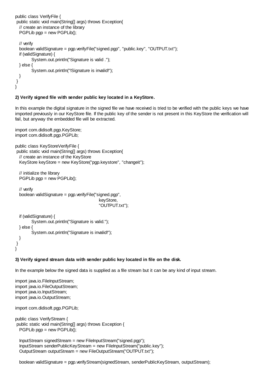```
public class VerifyFile {
 public static void main(String[] args) throws Exception{
  // create an instance of the library
  PGPLib pgp = new PGPLib():
  // verify
  boolean validSignature = pgp.verifyFile("signed.pgp", "public.key", "OUTPUT.txt");
  if (validSignature) {
        System.out.println("Signature is valid .");
  } else {
        System.out.println("!Signature is invalid!");
  }
 }
}
```
#### **2) Verify signed file with sender public key located in a KeyStore.**

In this example the digital signature in the signed file we have received is tried to be verified with the public keys we have imported previously in our KeyStore file. If the public key of the sender is not present in this KeyStore the verification will fail, but anyway the embedded file will be extracted.

```
import com.didisoft.pgp.KeyStore;
import com.didisoft.pgp.PGPLib;
```

```
public class KeyStoreVerifyFile {
 public static void main(String[] args) throws Exception{
  // create an instance of the KeyStore
  KeyStore keyStore = new KeyStore("pgp.keystore", "changeit");
  // initialize the library
  PGPLib pgp = new PGPLib();
  // verify
  boolean validSignature = pgp.verifyFile("signed.pgp",
                                             keyStore,
```

```
 "OUTPUT.txt");
```

```
 if (validSignature) {
        System.out.println("Signature is valid.");
  } else {
        System.out.println("Signature is invalid!");
  }
 }
```
#### **3) Verify signed stream data with sender public key located in file on the disk.**

In the example below the signed data is supplied as a file stream but it can be any kind of input stream.

import java.io.FileInputStream; import java.io.FileOutputStream; import java.io.InputStream; import java.io.OutputStream;

}

import com.didisoft.pgp.PGPLib;

```
public class VerifyStream {
 public static void main(String[] args) throws Exception {
  PGPLib pgp = new PGPLib();
```
 InputStream signedStream = new FileInputStream("signed.pgp"); InputStream senderPublicKeyStream = new FileInputStream("public.key"); OutputStream outputStream = new FileOutputStream("OUTPUT.txt");

boolean validSignature = pgp.verifyStream(signedStream, senderPublicKeyStream, outputStream);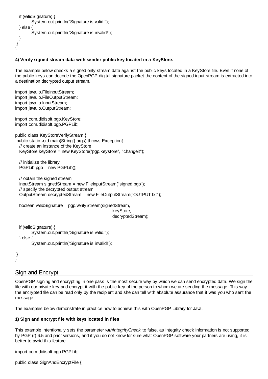```
if (validSignature) {
         System.out.println("Signature is valid.");
  } else {
         System.out.println("Signature is invalid!"):
  }
 }
}
```
## **4) Verify signed stream data with sender public key located in a KeyStore.**

The example below checks a signed only stream data against the public keys located in a KeyStore file. Even if none of the public keys can decode the OpenPGP digital signature packet the content of the signed input stream is extracted into a destination decrypted output stream.

```
import java.jo.FileInputStream:
import java.io.FileOutputStream;
import java.io.InputStream;
import java.io.OutputStream;
import com.didisoft.pgp.KeyStore;
import com.didisoft.pgp.PGPLib;
public class KeyStoreVerifyStream {
 public static void main(String[] args) throws Exception{
  // create an instance of the KeyStore
   KeyStore keyStore = new KeyStore("pgp.keystore", "changeit");
  // initialize the library 
   PGPLib pgp = new PGPLib();
  // obtain the signed stream
   InputStream signedStream = new FileInputStream("signed.pgp");
  // specify the decrypted output stream
   OutputStream decryptedStream = new FileOutputStream("OUTPUT.txt");
   boolean validSignature = pgp.verifyStream(signedStream, 
                                                   keyStore, 
                                                  decryptedStream);
  if (validSignature) {
        System.out.println("Signature is valid.");
  } else {
        System.out.println("Signature is invalid!");
  }
 }
}
```
## <span id="page-13-0"></span>Sign and Encrypt

OpenPGP signing and encrypting in one pass is the most secure way by which we can send encrypted data. We sign the file with our private key and encrypt it with the public key of the person to whom we are sending the message. This way the encrypted file can be read only by the recipient and she can tell with absolute assurance that it was you who sent the message.

The examples below demonstrate in practice how to achieve this with OpenPGP Library for Java.

#### **1) Sign and encrypt file with keys located in files**

This example intentionally sets the parameter *withIntegrityCheck* to false, as integrity check information is not supported by PGP (r) 6.5 and prior versions, and if you do not know for sure what OpenPGP software your partners are using, it is better to avoid this feature.

import com.didisoft.pgp.PGPLib;

public class SignAndEncryptFile {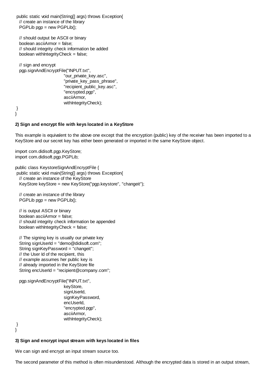public static void main(String[] args) throws Exception{ // create an instance of the library PGPLib pgp = new PGPLib();

 // should output be ASCII or binary boolean asciiArmor = false; // should integrity check information be added boolean withIntegrityCheck = false;

 // sign and encrypt pgp.signAndEncryptFile("INPUT.txt", "our private key.asc", "private key pass phrase", "recipient\_public\_key.asc", "encrypted.pgp", asciiArmor, withIntegrityCheck);

 } }

#### **2) Sign and encrypt file with keys located in a KeyStore**

This example is equivalent to the above one except that the encryption (public) key of the receiver has been imported to a KeyStore and our secret key has either been generated or imported in the same KeyStore object.

import com.didisoft.pgp.KeyStore; import com.didisoft.pgp.PGPLib;

public class KeystoreSignAndEncryptFile { public static void main(String[] args) throws Exception{ // create an instance of the KeyStore KeyStore keyStore = new KeyStore("pgp.keystore", "changeit");

 // create an instance of the library PGPLib pgp = new PGPLib();

 // is output ASCII or binary boolean asciiArmor = false; // should integrity check information be appended boolean withIntegrityCheck  $=$  false;

 // The signing key is usually our private key String signUserId = "[demo@didisoft.com](mailto:demo@didisoft.com)"; String signKeyPassword = "changeit"; // the User Id of the recipient, this // example assumes her public key is // already imported in the KeyStore file String encUserId = ["recipient@company.com](mailto:recipient@company.com)";

pgp.signAndEncryptFile("INPUT.txt",

keyStore, signUserId, signKeyPassword, encUserId, "encrypted.pgp", asciiArmor, withIntegrityCheck);

 } }

#### **3) Sign and encrypt input stream with keys located in files**

We can sign and encrypt an input stream source too.

The second parameter of this method is often misunderstood. Although the encrypted data is stored in an output stream,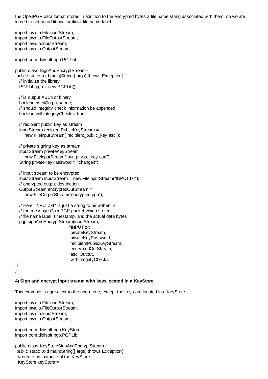the OpenPGP data format stores in addition to the encrypted bytes a file name string associated with them, so we are forced to set an additional artificial file name label.

import java.jo.FileInputStream: import java.jo.FileOutputStream: import java.io.InputStream; import java.io.OutputStream;

import com.didisoft.pgp.PGPLib;

public class SignAndEncryptStream { public static void main(String[] args) throws Exception{ // initialize the library PGPLib pgp = new PGPLib();

 // is output ASCII or binary boolean asciiOutput = true; // should integrity check information be appended boolean withIntegrityCheck  $=$  true;

 // recipient public key as stream InputStream recipientPublicKeyStream = new FileInputStream("recipient\_public\_key.asc");

 // private signing key as stream InputStream privateKeyStream = new FileInputStream("our\_private\_key.asc"); String privateKeyPassword = "changeit";

 // input stream to be encrypted InputStream inputStream = new FileInputStream("INPUT.txt"); // encrypted output destination OutputStream encryptedOutStream = new FileOutputStream("encrypted.pgp");

 // Here "INPUT.txt" is just a string to be written in // the message OpenPGP packet which stored // file name label, timestamp, and the actual data bytes pgp.signAndEncryptStream(inputStream, "INPUT.txt", privateKeyStream, privateKeyPassword, recipientPublicKeyStream, encryptedOutStream, asciiOutput, withIntegrityCheck);

 } }

#### **4) Sign and encrypt input stream with keys located in a KeyStore**

This example is equivalent to the above one, except the keys are located in a KeyStore.

import java.io.FileInputStream; import java.io.FileOutputStream; import java.io.InputStream; import java.io.OutputStream;

import com.didisoft.pgp.KeyStore; import com.didisoft.pgp.PGPLib;

public class KeyStoreSignAndEncryptStream { public static void main(String[] args) throws Exception{ // create an instance of the KeyStore KeyStore keyStore =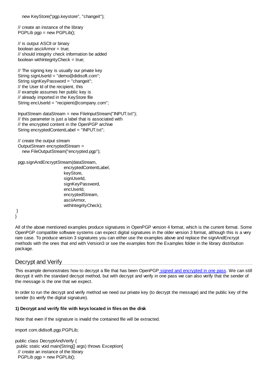new KeyStore("pgp.keystore", "changeit");

 // create an instance of the library  $PGPLib$  pgp = new  $PGPLib()$ :

 // is output ASCII or binary boolean asciiArmor = true; // should integrity check information be added boolean withIntegrityCheck = true;

 // The signing key is usually our private key String signUserId = "[demo@didisoft.com](mailto:demo@didisoft.com)"; String signKeyPassword = "changeit"; // the User Id of the recipient, this // example assumes her public key is // already imported in the KeyStore file String encUserId = "[recipient@company.com"](mailto:recipient@company.com);

 InputStream dataStream = new FileInputStream("INPUT.txt"); // this parameter is just a label that is associated with // the encrypted content in the OpenPGP archive String encryptedContentLabel = "INPUT.txt";

 // create the output stream OutputStream encryptedStream = new FileOutputStream("encrypted.pgp");

pgp.signAndEncryptStream(dataStream,

encryptedContentLabel, keyStore, signUserId, signKeyPassword, encUserId, encryptedStream, asciiArmor, withIntegrityCheck);

#### } }

All of the above mentioned examples produce signatures in OpenPGP version 4 format, which is the current format. Some OpenPGP compatible software systems can expect digital signatures in the older version 3 format, although this is a very rare case. To produce version 3 signatures you can either use the examples above and replace the signAndEncrypt methods with the ones that end with Version3 or see the examples from the Examples folder in the library distribution package.

## Decrypt and Verify

This example demonstrates how to decrypt a file that has been OpenPG[P signed and encrypted in one pass](#page-13-0). We can still decrypt it with the standard decrypt method, but with decrypt and verify in one pass we can also verify that the sender of the message is the one that we expect.

In order to run the decrypt and verify method we need our private key (to decrypt the message) and the public key of the sender (to verify the digital signature).

## **1) Decrypt and verify file with keys located in files on the disk**

Note that even if the signature is invalid the contained file will be extracted.

import com.didisoft.pgp.PGPLib;

public class DecryptAndVerify { public static void main(String[] args) throws Exception{ // create an instance of the library PGPLib pgp = new PGPLib();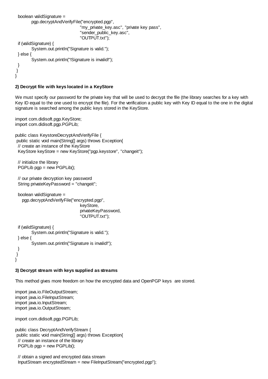```
 boolean validSignature = 
        pgp.decryptAndVerifyFile("encrypted.pgp", 
                                   "my_private_key.asc", "private key pass", 
                                   "sender_public_key.asc",
                                   "OUTPUT.txt");
  if (validSignature) {
        System.out.println("Signature is valid.");
  } else {
        System.out.println("!Signature is invalid!");
  }
 }
}
```
#### **2) Decrypt file with keys located in a KeyStore**

We must specify our password for the private key that will be used to decrypt the file (the library searches for a key with Key ID equal to the one used to encrypt the file). For the verification a public key with Key ID equal to the one in the digital signature is searched among the public keys stored in the KeyStore.

import com.didisoft.pgp.KeyStore; import com.didisoft.pgp.PGPLib;

public class KeystoreDecryptAndVerifyFile { public static void main(String[] args) throws Exception{ // create an instance of the KeyStore KeyStore keyStore = new KeyStore("pgp.keystore", "changeit");

```
 // initialize the library 
 PGPLib pgp = new PGPLib();
```
 // our private decryption key password String privateKeyPassword = "changeit";

 boolean validSignature = pgp.decryptAndVerifyFile("encrypted.pgp", keyStore, privateKeyPassword, "OUTPUT.txt"); if (validSignature) {

```
System.out.println("Signature is valid.");
 } else {
        System.out.println("Signature is invalid!");
 }
 }
```
#### **3) Decrypt stream with keys supplied as streams**

This method gives more freedom on how the encrypted data and OpenPGP keys are stored.

import java.io.FileOutputStream; import java.io.FileInputStream; import java.io.InputStream; import java.io.OutputStream;

}

import com.didisoft.pgp.PGPLib;

```
public class DecryptAndVerifyStream {
 public static void main(String[] args) throws Exception{
  // create an instance of the library
  PGPLib pgp = new PGPLib();
```
 // obtain a signed and encrypted data stream InputStream encryptedStream = new FileInputStream("encrypted.pgp");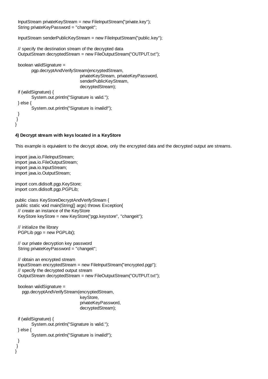InputStream privateKeyStream = new FileInputStream("private.key"); String privateKeyPassword = "changeit";

InputStream senderPublicKeyStream = new FileInputStream("public.key");

```
 // specify the destination stream of the decrypted data
  OutputStream decryptedStream = new FileOutputStream("OUTPUT.txt");
  boolean validSignature = 
        pgp.decryptAndVerifyStream(encryptedStream, 
                                 privateKeyStream, privateKeyPassword, 
                                 senderPublicKeyStream, 
                                 decryptedStream);
 if (validSignature) {
        System.out.println("Signature is valid.");
  } else {
        System.out.println("Signature is invalid!");
  }
 }
}
```
## **4) Decrypt stream with keys located in a KeyStore**

This example is equivalent to the decrypt above, only the encrypted data and the decrypted output are streams.

```
import java.io.FileInputStream;
import java.io.FileOutputStream;
import java.io.InputStream;
import java.io.OutputStream;
import com.didisoft.pgp.KeyStore;
import com.didisoft.pgp.PGPLib;
public class KeyStoreDecryptAndVerifyStream {
 public static void main(String[] args) throws Exception{
  // create an instance of the KeyStore
  KeyStore keyStore = new KeyStore("pgp.keystore", "changeit");
  // initialize the library 
 PGPLib pgp = new PGPLib();
  // our private decryption key password
  String privateKeyPassword = "changeit";
  // obtain an encrypted stream
  InputStream encryptedStream = new FileInputStream("encrypted.pgp");
  // specify the decrypted output stream
  OutputStream decryptedStream = new FileOutputStream("OUTPUT.txt");
  boolean validSignature = 
    pgp.decryptAndVerifyStream(encryptedStream, 
                                 keyStore, 
                                 privateKeyPassword, 
                                 decryptedStream);
  if (validSignature) {
        System.out.println("Signature is valid.");
  } else {
        System.out.println("Signature is invalid!");
  }
 }
}
```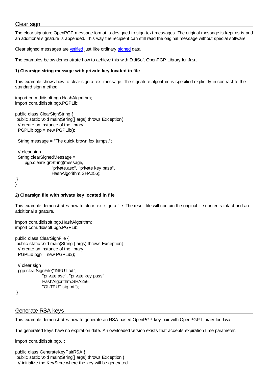## Clear sign

}

}

The clear signature OpenPGP message format is designed to sign text messages. The original message is kept as is and an additional signature is appended. This way the recipient can still read the original message without special software.

Clear signed messages are [verified](#page-11-0) just like ordinary [signed](#page-9-0) data.

The examples below demonstrate how to achieve this with DidiSoft OpenPGP Library for Java.

#### **1) Clearsign string message with private key located in file**

This example shows how to clear sign a text message. The signature algorithm is specified explicitly in contrast to the standard sign method.

import com.didisoft.pgp.HashAlgorithm; import com.didisoft.pgp.PGPLib;

public class ClearSignString { public static void main(String[] args) throws Exception{ // create an instance of the library PGPLib pgp = new PGPLib();

String message = "The quick brown fox jumps.";

```
 // clear sign
  String clearSignedMessage =
     pgp.clearSignString(message,
                   "private.asc", "private key pass",
                   HashAlgorithm.SHA256);
 }
```
#### **2) Clearsign file with private key located in file**

This example demonstrates how to clear text sign a file. The result file will contain the original file contents intact and an additional signature.

import com.didisoft.pgp.HashAlgorithm; import com.didisoft.pgp.PGPLib;

public class ClearSignFile { public static void main(String[] args) throws Exception{ // create an instance of the library PGPLib pgp = new PGPLib();

```
 // clear sign
 pgp.clearSignFile("INPUT.txt",
               "private.asc", "private key pass",
               HashAlgorithm.SHA256,
               "OUTPUT.sig.txt");
 }
```
## Generate RSA keys

This example demonstrates how to generate an RSA based OpenPGP key pair with OpenPGP Library for Java.

The generated keys have no expiration date. An overloaded version exists that accepts expiration time parameter.

import com.didisoft.pgp.\*;

public class GenerateKeyPairRSA { public static void main(String[] args) throws Exception { // initialize the KeyStore where the key will be generated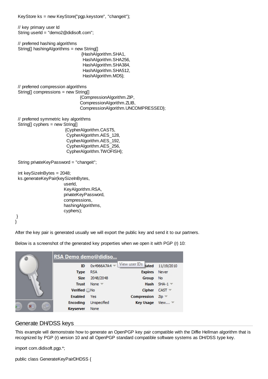KeyStore ks = new KeyStore("pgp.keystore", "changeit");

 // key primary user Id String userId = ["demo2@didisoft.com"](mailto:demo2@didisoft.com);

// preferred hashing algorithms

String[] hashingAlgorithms = new String[] {HashAlgorithm.SHA1, HashAlgorithm.SHA256, HashAlgorithm.SHA384, HashAlgorithm.SHA512, HashAlgorithm.MD5};

 // preferred compression algorithms String[] compressions = new String[]

{CompressionAlgorithm.ZIP, CompressionAlgorithm.ZLIB, CompressionAlgorithm.UNCOMPRESSED};

 // preferred symmetric key algorithms String[] cyphers = new String[] {CypherAlgorithm.CAST5,

 CypherAlgorithm.AES\_128, CypherAlgorithm.AES\_192, CypherAlgorithm.AES\_256, CypherAlgorithm.TWOFISH};

String privateKeyPassword = "changeit";

```
 int keySizeInBytes = 2048;
```
 ks.generateKeyPair(keySizeInBytes, userId, KeyAlgorithm.RSA, privateKeyPassword, compressions, hashingAlgorithms, cyphers);

```
 }
}
```
After the key pair is generated usually we will export the public key and send it to our partners.

Below is a screenshot of the generated key properties when we open it with PGP (r) 10:



## Generate DH/DSS keys

This example will demonstrate how to generate an OpenPGP key pair compatible with the Diffie Hellman algorithm that is recognized by PGP (r) version 10 and all OpenPGP standard compatible software systems as DH/DSS type key.

import com.didisoft.pgp.\*;

public class GenerateKeyPairDHDSS {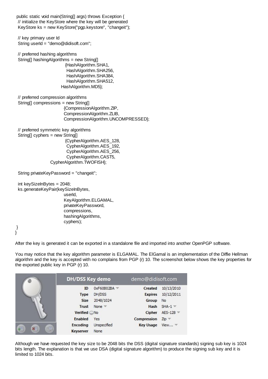public static void main(String[] args) throws Exception { // initialize the KeyStore where the key will be generated KeyStore ks = new KeyStore("pgp.keystore", "changeit");

 // key primary user Id String userId = ["demo@didisoft.com](mailto:demo@didisoft.com)";

 // preferred hashing algorithms String[] hashingAlgorithms = new String[] {HashAlgorithm.SHA1, HashAlgorithm.SHA256, HashAlgorithm.SHA384, HashAlgorithm.SHA512, HashAlgorithm.MD5};

 // preferred compression algorithms String[] compressions = new String[] {CompressionAlgorithm.ZIP, CompressionAlgorithm.ZLIB, CompressionAlgorithm.UNCOMPRESSED};

 // preferred symmetric key algorithms String[] cyphers = new String[] {CypherAlgorithm.AES\_128, CypherAlgorithm.AES\_192, CypherAlgorithm.AES\_256, CypherAlgorithm.CAST5, CypherAlgorithm.TWOFISH};

String privateKeyPassword = "changeit";

 int keySizeInBytes = 2048; ks.generateKeyPair(keySizeInBytes, userId, KeyAlgorithm.ELGAMAL, privateKeyPassword, compressions, hashingAlgorithms, cyphers);

 } }

After the key is generated it can be exported in a standalone file and imported into another OpenPGP software.

You may notice that the key algorithm parameter is ELGAMAL. The ElGamal is an implementation of the Diffie Hellman algorithm and the key is accepted with no complains from PGP (r) 10. The screenshot below shows the key properties for the exported public key in PGP (r) 10.

|        | DH/DSS Key demo  |               | demo@didisoft.com |                               |
|--------|------------------|---------------|-------------------|-------------------------------|
|        | ID               | 0xF60B02BA    | Created           | 10/13/2010                    |
|        | <b>Type</b>      | DH/DSS        | <b>Expires</b>    | 10/12/2011                    |
|        | <b>Size</b>      | 2048/1024     | Group             | No                            |
|        | Trust            | None $\equiv$ | Hash              | $SHA-1$                       |
|        | Verified No      |               | Cipher            | AES-128                       |
|        | Enabled          | Yes           | Compression       | $Zip =$                       |
| 向<br>客 | <b>Encoding</b>  | Unspecified   | <b>Key Usage</b>  | View $\overline{\phantom{a}}$ |
|        | <b>Keyserver</b> | None          |                   |                               |

Although we have requested the key size to be 2048 bits the DSS (digital signature standards) signing sub key is 1024 bits length. The explanation is that we use DSA (digital signature algorithm) to produce the signing sub key and it is limited to 1024 bits.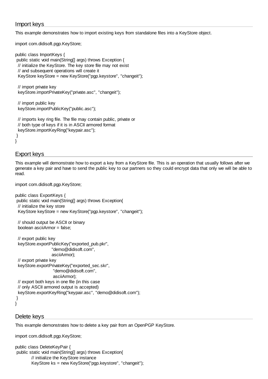## Import keys

This example demonstrates how to import existing keys from standalone files into a KeyStore object.

import com.didisoft.pgp.KeyStore;

public class ImportKeys { public static void main(String[] args) throws Exception { // initialize the KeyStore. The key store file may not exist // and subsequent operations will create it KeyStore keyStore = new KeyStore("pgp.keystore", "changeit");

 // import private key keyStore.importPrivateKey("private.asc", "changeit");

 // import public key keyStore.importPublicKey("public.asc");

 // imports key ring file. The file may contain public, private or // both type of keys if it is in ASCII armored format keyStore.importKeyRing("keypair.asc"); }

## Export keys

}

This example will demonstrate how to export a key from a KeyStore file. This is an operation that usually follows after we generate a key pair and have to send the public key to our partners so they could encrypt data that only we will be able to read.

import com.didisoft.pgp.KeyStore;

public class ExportKeys { public static void main(String[] args) throws Exception{ // initialize the key store KeyStore keyStore = new KeyStore("pgp.keystore", "changeit");

 // should output be ASCII or binary boolean asciiArmor = false;

```
 // export public key
  keyStore.exportPublicKey("exported_pub.pkr", 
                    "demo@didisoft.com", 
                    asciiArmor);
  // export private key
  keyStore.exportPrivateKey("exported_sec.skr", 
                     "demo@didisoft.com", 
                     asciiArmor);
  // export both keys in one file (in this case 
  // only ASCII armored output is accepted)
  keyStore.exportKeyRing("keypair.asc", "demo@didisoft.com");
 }
}
```
## Delete keys

This example demonstrates how to delete a key pair from an OpenPGP KeyStore.

import com.didisoft.pgp.KeyStore;

```
public class DeleteKeyPair {
 public static void main(String[] args) throws Exception{
        // initialize the KeyStore instance
        KeyStore ks = new KeyStore("pgp.keystore", "changeit");
```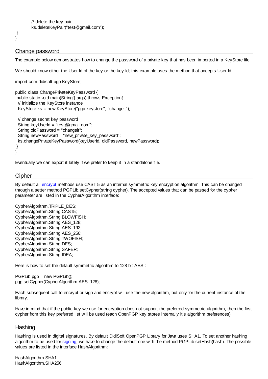```
// delete the key pair
ks.deleteKeyPair("test@gmail.com");
```
## Change password

 } }

The example below demonstrates how to change the password of a private key that has been imported in a KeyStore file.

We should know either the User Id of the key or the key Id; this example uses the method that accepts User Id.

import com.didisoft.pgp.KeyStore;

```
public class ChangePrivateKeyPassword {
 public static void main(String[] args) throws Exception{
  // initialize the KeyStore instance
  KeyStore ks = new KeyStore("pgp.keystore", "changeit");
  // change secret key password
  String keyUserId = "test@gmail.com";
  String oldPassword = "changeit";
  String newPassword = "new_private_key_password";
  ks.changePrivateKeyPassword(keyUserId, oldPassword, newPassword);
 }
}
```
Eventually we can export it lately if we prefer to keep it in a standalone file.

#### **Cipher**

By default all [encrypt](#page-5-0) methods use CAST 5 as an internal symmetric key encryption algorithm. This can be changed through a setter method PGPLib.setCypher(string cypher). The accepted values that can be passed for the cypher parameter are listed in the CypherAlgorithm interface:

CypherAlgorithm.TRIPLE\_DES; CypherAlgorithm.String CAST5; CypherAlgorithm.String BLOWFISH; CypherAlgorithm.String AES\_128; CypherAlgorithm.String AES\_192; CypherAlgorithm.String AES\_256; CypherAlgorithm.String TWOFISH; CypherAlgorithm.String DES; CypherAlgorithm.String SAFER; CypherAlgorithm.String IDEA;

Here is how to set the default symmetric algorithm to 128 bit AES :

 $PGPLib$  pgp = new  $PGPLib()$ ; pgp.setCypher(CypherAlgorithm.AES\_128);

Each subsequent call to encrypt or sign and encrypt will use the new algorithm, but only for the current instance of the library.

Have in mind that if the public key we use for encryption does not support the preferred symmetric algorithm, then the first cypher from this key preferred list will be used (each OpenPGP key stores internally it's algorithm preferences).

#### **Hashing**

Hashing is used in digital signatures. By default DidiSoft OpenPGP Library for Java uses SHA1. To set another hashing algorithm to be used for [signing,](#page-9-0) we have to change the default one with the method PGPLib.setHash(hash). The possible values are listed in the interface HashAlgorithm:

HashAlgorithm.SHA1 HashAlgorithm.SHA256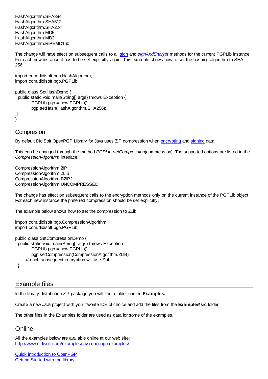HashAlgorithm.SHA384 HashAlgorithm.SHA512 HashAlgorithm.SHA224 HashAlgorithm.MD5 HashAlgorithm.MD2 HashAlgorithm.RIPEMD160

The change will have effect on subsequent calls to all [sign](#page-9-0) and *[signAndEncrypt](#page-13-0)* methods for the current PGPLib instance. For each new instance it has to be set explicitly again. This example shows how to set the hashing algorithm to SHA 256:

import com.didisoft.pgp.HashAlgorithm; import com.didisoft.pgp.PGPLib;

```
public class SetHashDemo {
  public static void main(String[] args) throws Exception {
        PGPLib pgp = new PGPLib();
        pgp.setHash(HashAlgorithm.SHA256);
 }
}
```
## **Compresion**

By default DidiSoft OpenPGP Library for Java uses ZIP compression when [encrypting](#page-5-0) and [signing](#page-9-0) data.

This can be changed through the method *PGPLib.setCompression*(compression). The supported options are listed in the *CompressionAlgorithm* interface:

CompressionAlgorithm.ZIP CompressionAlgorithm.ZLIB CompressionAlgorithm.BZIP2 CompressionAlgorithm.UNCOMPRESSED

The change has effect on subsequent calls to the encryption methods only on the current instance of the PGPLib object. For each new instance the preferred compression should be set explicitly.

The example below shows how to set the compression to ZLib:

```
import com.didisoft.pgp.CompressionAlgorithm;
import com.didisoft.pgp.PGPLib;
```

```
public class SetCompressionDemo {
  public static void main(String[] args) throws Exception {
        PGPLib pgp = new PGPLib();
        pgp.setCompression(CompressionAlgorithm.ZLIB);
      // each subsequent encryption will use ZLib
  }
}
```
## Example files

In the library distribution ZIP package you will find a folder named **Examples.**

Create a new Java project with your favorite IDE of choice and add the files from the **Examples\src** folder.

The other files in the Examples folder are used as data for some of the examples.

# **Online**

All the examples below are available online at our web site: <http://www.didisoft.com/examples/java-openpgp-examples/>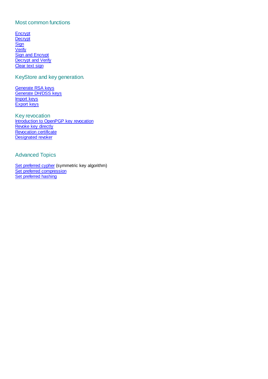## Most common functions

**[Encrypt](http://www.didisoft.com/examples/encrypt-file/) [Decrypt](http://www.didisoft.com/examples/decrypt-in-java/) [Sign](http://www.didisoft.com/examples/sign-in-java/) [Verify](http://www.didisoft.com/examples/verify-in-java/) [Sign and Encrypt](http://www.didisoft.com/examples/java-sign-and-encrypt/)** [Decrypt and Verify](http://www.didisoft.com/examples/java-decrypt-and-verify/) [Clear text sign](http://www.didisoft.com/examples/java-clearsign/)

## KeyStore and key generation.

[Generate RSA keys](http://www.didisoft.com/examples/java-generate-rsa-key/) [Generate DH/DSS keys](http://www.didisoft.com/examples/java-generate-dhdss-key/) [Import keys](http://www.didisoft.com/examples/import-keys/) [Export keys](http://www.didisoft.com/examples/export-keys/)

Key revocation [Introduction to OpenPGP key revocation](http://www.didisoft.com/examples/openpgp-key-revocation) [Revoke key directly](http://www.didisoft.com/examples/revoke-key) [Revocation certificate](http://www.didisoft.com/examples/revocation-certificate/) [Designated revoker](http://www.didisoft.com/examples/designated-revoker/)

## Advanced Topics

[Set preferred cypher](http://www.didisoft.com/examples/set-cypher/) (symmetric key algorithm) [Set preferred compression](http://www.didisoft.com/examples/set-compression/) [Set preferred hashing](http://www.didisoft.com/examples/set-hashing/)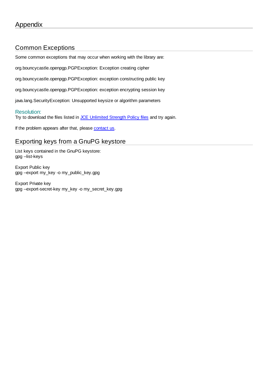# Common Exceptions

Some common exceptions that may occur when working with the library are:

org.bouncycastle.openpgp.PGPException: Exception creating cipher

org.bouncycastle.openpgp.PGPException: exception constructing public key

org.bouncycastle.openpgp.PGPException: exception encrypting session key

java.lang.SecurityException: Unsupported keysize or algorithm parameters

## Resolution:

Try to download the files listed in [JCE Unlimited Strength Policy files](#page-2-1) and try again.

If the problem appears after that, please [contact us](#page-27-0).

# Exporting keys from a GnuPG keystore

List keys contained in the GnuPG keystore: gpg --list-keys

Export Public key gpg --export my\_key -o my\_public\_key.gpg

Export Private key gpg --export-secret-key my\_key -o my\_secret\_key.gpg